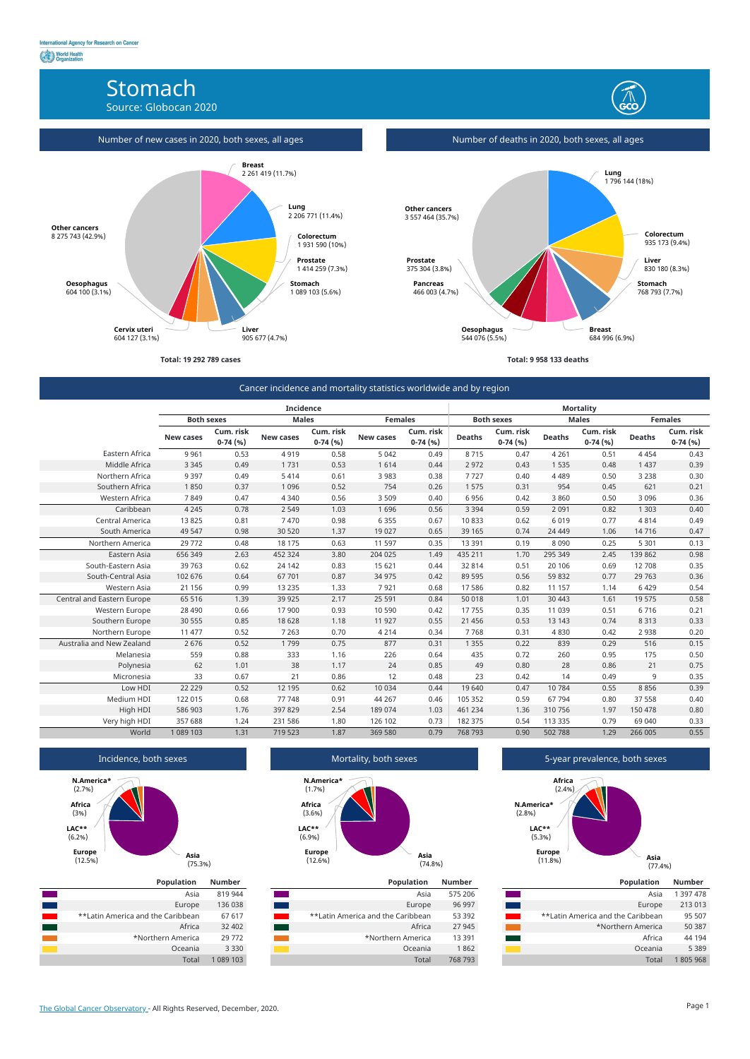# Stomach

Source: Globocan 2020



**Total: 19 292 789 cases**



Number of deaths in 2020, both sexes, all ages

**Total: 9 958 133 deaths**



## Cancer incidence and mortality statistics worldwide and by region

|                            | <b>Incidence</b>  |                        |                  |                        | <b>Mortality</b> |                        |                   |                        |               |                        |                |                        |
|----------------------------|-------------------|------------------------|------------------|------------------------|------------------|------------------------|-------------------|------------------------|---------------|------------------------|----------------|------------------------|
|                            | <b>Both sexes</b> |                        | <b>Males</b>     |                        | <b>Females</b>   |                        | <b>Both sexes</b> |                        | <b>Males</b>  |                        | <b>Females</b> |                        |
|                            | <b>New cases</b>  | Cum. risk<br>$0-74(%)$ | <b>New cases</b> | Cum. risk<br>$0-74(%)$ | <b>New cases</b> | Cum. risk<br>$0-74(%)$ | <b>Deaths</b>     | Cum. risk<br>$0-74(%)$ | <b>Deaths</b> | Cum. risk<br>$0-74(%)$ | <b>Deaths</b>  | Cum. risk<br>$0-74(%)$ |
| Eastern Africa             | 9 9 6 1           | 0.53                   | 4919             | 0.58                   | 5 0 4 2          | 0.49                   | 8715              | 0.47                   | 4 2 6 1       | 0.51                   | 4454           | 0.43                   |
| Middle Africa              | 3 3 4 5           | 0.49                   | 1731             | 0.53                   | 1614             | 0.44                   | 2 9 7 2           | 0.43                   | 1 5 3 5       | 0.48                   | 1 4 3 7        | 0.39                   |
| Northern Africa            | 9 3 9 7           | 0.49                   | 5414             | 0.61                   | 3 9 8 3          | 0.38                   | 7727              | 0.40                   | 4 4 8 9       | 0.50                   | 3 2 3 8        | 0.30                   |
| Southern Africa            | 1850              | 0.37                   | 1 0 9 6          | 0.52                   | 754              | 0.26                   | 1 5 7 5           | 0.31                   | 954           | 0.45                   | 621            | 0.21                   |
| Western Africa             | 7849              | 0.47                   | 4 3 4 0          | 0.56                   | 3 5 0 9          | 0.40                   | 6 9 5 6           | 0.42                   | 3 8 6 0       | 0.50                   | 3 0 9 6        | 0.36                   |
| Caribbean                  | 4 2 4 5           | 0.78                   | 2 5 4 9          | 1.03                   | 1696             | 0.56                   | 3 3 9 4           | 0.59                   | 2 0 9 1       | 0.82                   | 1 3 0 3        | 0.40                   |
| Central America            | 13 8 25           | 0.81                   | 7470             | 0.98                   | 6 3 5 5          | 0.67                   | 10833             | 0.62                   | 6 0 1 9       | 0.77                   | 4814           | 0.49                   |
| South America              | 49 547            | 0.98                   | 30 520           | 1.37                   | 19 0 27          | 0.65                   | 39 165            | 0.74                   | 24 4 4 9      | 1.06                   | 14716          | 0.47                   |
| Northern America           | 29772             | 0.48                   | 18 175           | 0.63                   | 11 597           | 0.35                   | 13 3 9 1          | 0.19                   | 8 0 9 0       | 0.25                   | 5 3 0 1        | 0.13                   |
| Eastern Asia               | 656 349           | 2.63                   | 452 324          | 3.80                   | 204 025          | 1.49                   | 435 211           | 1.70                   | 295 349       | 2.45                   | 139 862        | 0.98                   |
| South-Eastern Asia         | 39 763            | 0.62                   | 24 142           | 0.83                   | 15 621           | 0.44                   | 32 814            | 0.51                   | 20 10 6       | 0.69                   | 12 708         | 0.35                   |
| South-Central Asia         | 102 676           | 0.64                   | 67 701           | 0.87                   | 34 975           | 0.42                   | 89 595            | 0.56                   | 59 832        | 0.77                   | 29 7 63        | 0.36                   |
| Western Asia               | 21 156            | 0.99                   | 13 2 35          | 1.33                   | 7921             | 0.68                   | 17 586            | 0.82                   | 11 157        | 1.14                   | 6429           | 0.54                   |
| Central and Eastern Europe | 65 516            | 1.39                   | 39 9 25          | 2.17                   | 25 5 91          | 0.84                   | 50 018            | 1.01                   | 30 4 43       | 1.61                   | 19575          | 0.58                   |
| Western Europe             | 28 4 90           | 0.66                   | 17 900           | 0.93                   | 10 590           | 0.42                   | 17755             | 0.35                   | 11 039        | 0.51                   | 6716           | 0.21                   |
| Southern Europe            | 30 555            | 0.85                   | 18 628           | 1.18                   | 11 927           | 0.55                   | 21 4 5 6          | 0.53                   | 13 143        | 0.74                   | 8 3 1 3        | 0.33                   |
| Northern Europe            | 11 477            | 0.52                   | 7 2 6 3          | 0.70                   | 4 2 1 4          | 0.34                   | 7768              | 0.31                   | 4830          | 0.42                   | 2 9 3 8        | 0.20                   |
| Australia and New Zealand  | 2676              | 0.52                   | 1799             | 0.75                   | 877              | 0.31                   | 1 3 5 5           | 0.22                   | 839           | 0.29                   | 516            | 0.15                   |
| Melanesia                  | 559               | 0.88                   | 333              | 1.16                   | 226              | 0.64                   | 435               | 0.72                   | 260           | 0.95                   | 175            | 0.50                   |
| Polynesia                  | 62                | 1.01                   | 38               | 1.17                   | 24               | 0.85                   | 49                | 0.80                   | 28            | 0.86                   | 21             | 0.75                   |
| Micronesia                 | 33                | 0.67                   | 21               | 0.86                   | 12               | 0.48                   | 23                | 0.42                   | 14            | 0.49                   | 9              | 0.35                   |
| Low HDI                    | 22 2 2 9          | 0.52                   | 12 195           | 0.62                   | 10 0 34          | 0.44                   | 19 640            | 0.47                   | 10784         | 0.55                   | 8856           | 0.39                   |
| Medium HDI                 | 122 015           | 0.68                   | 77 748           | 0.91                   | 44 267           | 0.46                   | 105 352           | 0.59                   | 67 794        | 0.80                   | 37 558         | 0.40                   |
| High HDI                   | 586 903           | 1.76                   | 397 829          | 2.54                   | 189 074          | 1.03                   | 461 234           | 1.36                   | 310756        | 1.97                   | 150 478        | 0.80                   |
| Very high HDI              | 357 688           | 1.24                   | 231 586          | 1.80                   | 126 102          | 0.73                   | 182 375           | 0.54                   | 113 335       | 0.79                   | 69 040         | 0.33                   |
| World                      | 1 089 103         | 1.31                   | 719 523          | 1.87                   | 369 580          | 0.79                   | 768 793           | 0.90                   | 502 788       | 1.29                   | 266 005        | 0.55                   |

#### Incidence, both sexes



## Mortality, both sexes

(74.8%)

(12.6%)

#### **Asia Europe LAC\*\*** (6.9%) **Africa** (3.6%) **N.America\*** (1.7%)

## 5-year prevalence, both sexes



| <b>Population</b>                 | <b>Number</b> |
|-----------------------------------|---------------|
| Asia                              | 819 944       |
| Europe                            | 136 038       |
| **Latin America and the Caribbean | 67 617        |
| Africa                            | 32 402        |
| *Northern America                 | 29772         |
| Oceania                           | 3 3 3 0       |
| Total                             | 1 089 103     |

| <b>Population</b>                 | <b>Number</b> |
|-----------------------------------|---------------|
| Asia                              | 575 206       |
| Europe                            | 96 997        |
| **Latin America and the Caribbean | 53 392        |
| Africa                            | 27 945        |
| *Northern America                 | 13 3 9 1      |
| Oceania                           | 1862          |
| Total                             | 768 793       |

| <b>Population</b>                 | <b>Number</b> |
|-----------------------------------|---------------|
| Asia                              | 1 397 478     |
| Europe                            | 213 013       |
| **Latin America and the Caribbean | 95 507        |
| *Northern America                 | 50 387        |
| Africa                            | 44 194        |
| Oceania                           | 5 3 8 9       |
| Total                             | 1805968       |

[The Global Cancer Observatory -](https://gco.iarc.fr/today) All Rights Reserved, December, 2020. Page 1